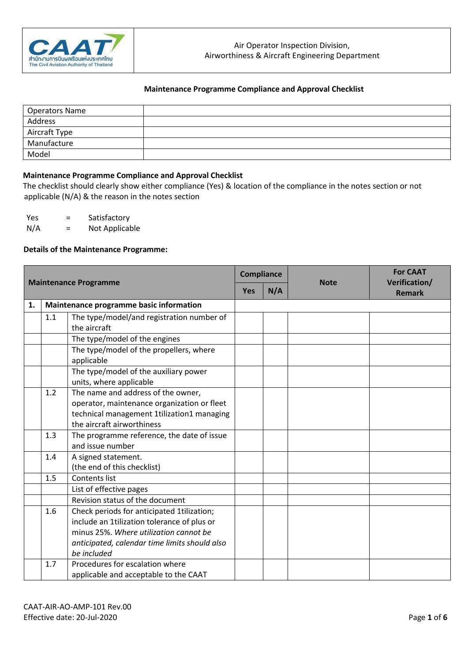

| <b>Operators Name</b> |  |
|-----------------------|--|
| Address               |  |
| Aircraft Type         |  |
| Manufacture           |  |
| Model                 |  |

### **Maintenance Programme Compliance and Approval Checklist**

The checklist should clearly show either compliance (Yes) & location of the compliance in the notes section or not applicable (N/A) & the reason in the notes section

Yes = Satisfactory

N/A = Not Applicable

#### **Details of the Maintenance Programme:**

| <b>Maintenance Programme</b> |     | <b>Compliance</b>                                                                                                                                                                                   |                   | <b>Note</b> | <b>For CAAT</b><br>Verification/ |               |
|------------------------------|-----|-----------------------------------------------------------------------------------------------------------------------------------------------------------------------------------------------------|-------------------|-------------|----------------------------------|---------------|
|                              |     |                                                                                                                                                                                                     | N/A<br><b>Yes</b> |             |                                  | <b>Remark</b> |
| 1.                           |     | Maintenance programme basic information                                                                                                                                                             |                   |             |                                  |               |
|                              | 1.1 | The type/model/and registration number of<br>the aircraft                                                                                                                                           |                   |             |                                  |               |
|                              |     | The type/model of the engines                                                                                                                                                                       |                   |             |                                  |               |
|                              |     | The type/model of the propellers, where<br>applicable                                                                                                                                               |                   |             |                                  |               |
|                              |     | The type/model of the auxiliary power<br>units, where applicable                                                                                                                                    |                   |             |                                  |               |
|                              | 1.2 | The name and address of the owner,<br>operator, maintenance organization or fleet<br>technical management 1tilization1 managing<br>the aircraft airworthiness                                       |                   |             |                                  |               |
|                              | 1.3 | The programme reference, the date of issue<br>and issue number                                                                                                                                      |                   |             |                                  |               |
|                              | 1.4 | A signed statement.<br>(the end of this checklist)                                                                                                                                                  |                   |             |                                  |               |
|                              | 1.5 | Contents list                                                                                                                                                                                       |                   |             |                                  |               |
|                              |     | List of effective pages                                                                                                                                                                             |                   |             |                                  |               |
|                              |     | Revision status of the document                                                                                                                                                                     |                   |             |                                  |               |
|                              | 1.6 | Check periods for anticipated 1tilization;<br>include an 1tilization tolerance of plus or<br>minus 25%. Where utilization cannot be<br>anticipated, calendar time limits should also<br>be included |                   |             |                                  |               |
|                              | 1.7 | Procedures for escalation where<br>applicable and acceptable to the CAAT                                                                                                                            |                   |             |                                  |               |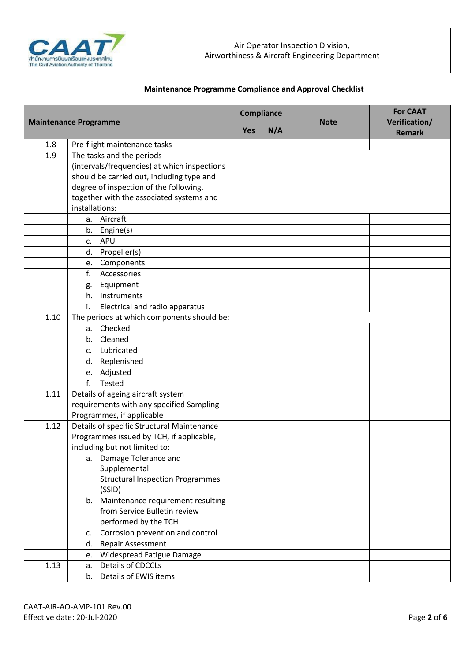

| <b>Maintenance Programme</b> |                                                         | <b>Compliance</b> |     |             | <b>For CAAT</b>                |
|------------------------------|---------------------------------------------------------|-------------------|-----|-------------|--------------------------------|
|                              |                                                         | Yes               | N/A | <b>Note</b> | Verification/<br><b>Remark</b> |
| 1.8                          | Pre-flight maintenance tasks                            |                   |     |             |                                |
| 1.9                          | The tasks and the periods                               |                   |     |             |                                |
|                              | (intervals/frequencies) at which inspections            |                   |     |             |                                |
|                              | should be carried out, including type and               |                   |     |             |                                |
|                              | degree of inspection of the following,                  |                   |     |             |                                |
|                              | together with the associated systems and                |                   |     |             |                                |
|                              | installations:                                          |                   |     |             |                                |
|                              | a. Aircraft                                             |                   |     |             |                                |
|                              | b.<br>Engine(s)                                         |                   |     |             |                                |
|                              | <b>APU</b><br>$\mathsf{C}$ .                            |                   |     |             |                                |
|                              | Propeller(s)<br>d.                                      |                   |     |             |                                |
|                              | Components<br>e.                                        |                   |     |             |                                |
|                              | f.<br>Accessories                                       |                   |     |             |                                |
|                              | Equipment<br>g.                                         |                   |     |             |                                |
|                              | Instruments<br>h.                                       |                   |     |             |                                |
|                              | i.<br>Electrical and radio apparatus                    |                   |     |             |                                |
| 1.10                         | The periods at which components should be:              |                   |     |             |                                |
|                              | Checked<br>а.                                           |                   |     |             |                                |
|                              | b. Cleaned                                              |                   |     |             |                                |
|                              | Lubricated<br>c.                                        |                   |     |             |                                |
|                              | Replenished<br>d.                                       |                   |     |             |                                |
|                              | e. Adjusted                                             |                   |     |             |                                |
|                              | f.<br>Tested                                            |                   |     |             |                                |
| 1.11                         | Details of ageing aircraft system                       |                   |     |             |                                |
|                              | requirements with any specified Sampling                |                   |     |             |                                |
|                              | Programmes, if applicable                               |                   |     |             |                                |
| 1.12                         | Details of specific Structural Maintenance              |                   |     |             |                                |
|                              | Programmes issued by TCH, if applicable,                |                   |     |             |                                |
|                              | including but not limited to:                           |                   |     |             |                                |
|                              | a. Damage Tolerance and                                 |                   |     |             |                                |
|                              | Supplemental<br><b>Structural Inspection Programmes</b> |                   |     |             |                                |
|                              | (SSID)                                                  |                   |     |             |                                |
|                              | b. Maintenance requirement resulting                    |                   |     |             |                                |
|                              | from Service Bulletin review                            |                   |     |             |                                |
|                              | performed by the TCH                                    |                   |     |             |                                |
|                              | Corrosion prevention and control<br>C.                  |                   |     |             |                                |
|                              | Repair Assessment<br>d.                                 |                   |     |             |                                |
|                              | Widespread Fatigue Damage<br>e.                         |                   |     |             |                                |
| 1.13                         | Details of CDCCLs<br>a.                                 |                   |     |             |                                |
|                              | Details of EWIS items<br>b.                             |                   |     |             |                                |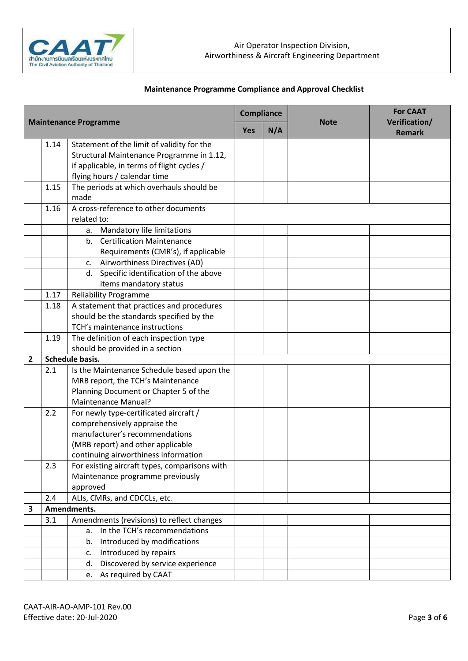

| <b>Maintenance Programme</b> |      | <b>Compliance</b>                                                      |     |             | <b>For CAAT</b>                |  |
|------------------------------|------|------------------------------------------------------------------------|-----|-------------|--------------------------------|--|
|                              |      | <b>Yes</b>                                                             | N/A | <b>Note</b> | Verification/<br><b>Remark</b> |  |
|                              | 1.14 | Statement of the limit of validity for the                             |     |             |                                |  |
|                              |      | Structural Maintenance Programme in 1.12,                              |     |             |                                |  |
|                              |      | if applicable, in terms of flight cycles /                             |     |             |                                |  |
|                              |      | flying hours / calendar time                                           |     |             |                                |  |
|                              | 1.15 | The periods at which overhauls should be<br>made                       |     |             |                                |  |
|                              | 1.16 | A cross-reference to other documents                                   |     |             |                                |  |
|                              |      | related to:                                                            |     |             |                                |  |
|                              |      | Mandatory life limitations<br>a.                                       |     |             |                                |  |
|                              |      | b. Certification Maintenance                                           |     |             |                                |  |
|                              |      | Requirements (CMR's), if applicable                                    |     |             |                                |  |
|                              |      | c. Airworthiness Directives (AD)                                       |     |             |                                |  |
|                              |      | d. Specific identification of the above                                |     |             |                                |  |
|                              |      | items mandatory status                                                 |     |             |                                |  |
|                              | 1.17 | <b>Reliability Programme</b>                                           |     |             |                                |  |
|                              | 1.18 | A statement that practices and procedures                              |     |             |                                |  |
|                              |      | should be the standards specified by the                               |     |             |                                |  |
|                              |      | TCH's maintenance instructions                                         |     |             |                                |  |
|                              | 1.19 | The definition of each inspection type                                 |     |             |                                |  |
|                              |      | should be provided in a section                                        |     |             |                                |  |
| 2                            |      | Schedule basis.                                                        |     |             |                                |  |
|                              | 2.1  | Is the Maintenance Schedule based upon the                             |     |             |                                |  |
|                              |      | MRB report, the TCH's Maintenance                                      |     |             |                                |  |
|                              |      | Planning Document or Chapter 5 of the<br><b>Maintenance Manual?</b>    |     |             |                                |  |
|                              |      |                                                                        |     |             |                                |  |
|                              | 2.2  | For newly type-certificated aircraft /<br>comprehensively appraise the |     |             |                                |  |
|                              |      | manufacturer's recommendations                                         |     |             |                                |  |
|                              |      | (MRB report) and other applicable                                      |     |             |                                |  |
|                              |      | continuing airworthiness information                                   |     |             |                                |  |
|                              | 2.3  | For existing aircraft types, comparisons with                          |     |             |                                |  |
|                              |      | Maintenance programme previously                                       |     |             |                                |  |
|                              |      | approved                                                               |     |             |                                |  |
|                              | 2.4  | ALIs, CMRs, and CDCCLs, etc.                                           |     |             |                                |  |
| 3                            |      | Amendments.                                                            |     |             |                                |  |
|                              | 3.1  | Amendments (revisions) to reflect changes                              |     |             |                                |  |
|                              |      | In the TCH's recommendations<br>a.                                     |     |             |                                |  |
|                              |      | Introduced by modifications<br>b.                                      |     |             |                                |  |
|                              |      | Introduced by repairs<br>c.                                            |     |             |                                |  |
|                              |      | Discovered by service experience<br>d.                                 |     |             |                                |  |
|                              |      | e. As required by CAAT                                                 |     |             |                                |  |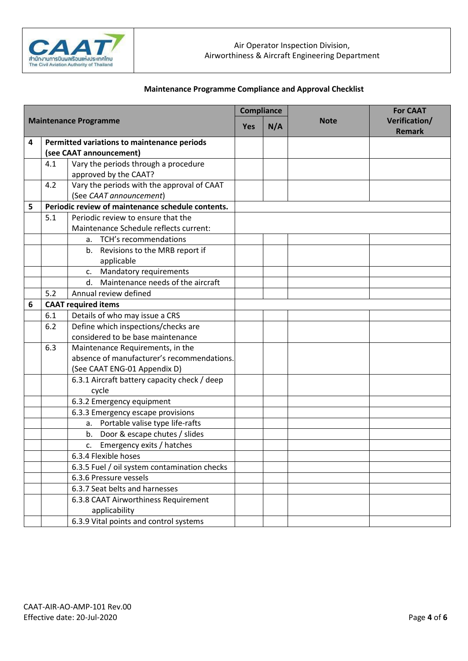

|   |                              | <b>Compliance</b>                                 |            |     | <b>For CAAT</b> |               |
|---|------------------------------|---------------------------------------------------|------------|-----|-----------------|---------------|
|   | <b>Maintenance Programme</b> |                                                   | <b>Yes</b> | N/A | <b>Note</b>     | Verification/ |
|   |                              |                                                   |            |     |                 | <b>Remark</b> |
| 4 |                              | Permitted variations to maintenance periods       |            |     |                 |               |
|   |                              | (see CAAT announcement)                           |            |     |                 |               |
|   | 4.1                          | Vary the periods through a procedure              |            |     |                 |               |
|   |                              | approved by the CAAT?                             |            |     |                 |               |
|   | 4.2                          | Vary the periods with the approval of CAAT        |            |     |                 |               |
|   |                              | (See CAAT announcement)                           |            |     |                 |               |
| 5 |                              | Periodic review of maintenance schedule contents. |            |     |                 |               |
|   | 5.1                          | Periodic review to ensure that the                |            |     |                 |               |
|   |                              | Maintenance Schedule reflects current:            |            |     |                 |               |
|   |                              | a. TCH's recommendations                          |            |     |                 |               |
|   |                              | b. Revisions to the MRB report if                 |            |     |                 |               |
|   |                              | applicable                                        |            |     |                 |               |
|   |                              | Mandatory requirements<br>C.                      |            |     |                 |               |
|   |                              | Maintenance needs of the aircraft<br>d.           |            |     |                 |               |
|   | 5.2                          | Annual review defined                             |            |     |                 |               |
| 6 | <b>CAAT required items</b>   |                                                   |            |     |                 |               |
|   | 6.1                          | Details of who may issue a CRS                    |            |     |                 |               |
|   | 6.2                          | Define which inspections/checks are               |            |     |                 |               |
|   |                              | considered to be base maintenance                 |            |     |                 |               |
|   | 6.3                          | Maintenance Requirements, in the                  |            |     |                 |               |
|   |                              | absence of manufacturer's recommendations.        |            |     |                 |               |
|   |                              | (See CAAT ENG-01 Appendix D)                      |            |     |                 |               |
|   |                              | 6.3.1 Aircraft battery capacity check / deep      |            |     |                 |               |
|   |                              | cycle                                             |            |     |                 |               |
|   |                              | 6.3.2 Emergency equipment                         |            |     |                 |               |
|   |                              | 6.3.3 Emergency escape provisions                 |            |     |                 |               |
|   |                              | a. Portable valise type life-rafts                |            |     |                 |               |
|   |                              | b. Door & escape chutes / slides                  |            |     |                 |               |
|   |                              | Emergency exits / hatches<br>c.                   |            |     |                 |               |
|   |                              | 6.3.4 Flexible hoses                              |            |     |                 |               |
|   |                              | 6.3.5 Fuel / oil system contamination checks      |            |     |                 |               |
|   |                              | 6.3.6 Pressure vessels                            |            |     |                 |               |
|   |                              | 6.3.7 Seat belts and harnesses                    |            |     |                 |               |
|   |                              | 6.3.8 CAAT Airworthiness Requirement              |            |     |                 |               |
|   |                              | applicability                                     |            |     |                 |               |
|   |                              | 6.3.9 Vital points and control systems            |            |     |                 |               |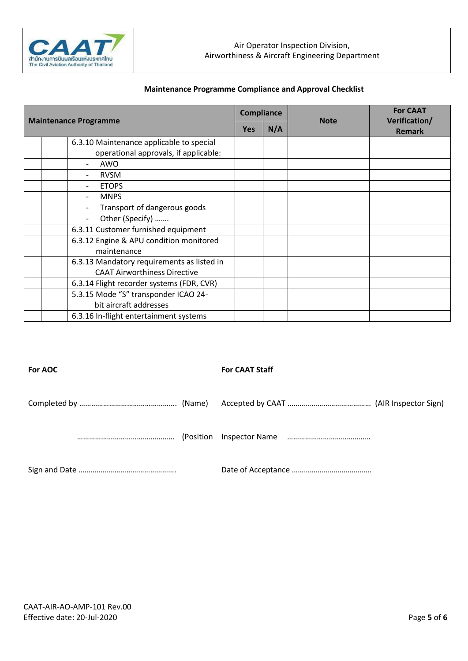

| <b>Maintenance Programme</b> |                                            | <b>Compliance</b> |     |             | <b>For CAAT</b>                |
|------------------------------|--------------------------------------------|-------------------|-----|-------------|--------------------------------|
|                              |                                            | <b>Yes</b>        | N/A | <b>Note</b> | Verification/<br><b>Remark</b> |
|                              | 6.3.10 Maintenance applicable to special   |                   |     |             |                                |
|                              | operational approvals, if applicable:      |                   |     |             |                                |
|                              | AWO                                        |                   |     |             |                                |
|                              | <b>RVSM</b>                                |                   |     |             |                                |
|                              | <b>ETOPS</b>                               |                   |     |             |                                |
|                              | <b>MNPS</b>                                |                   |     |             |                                |
|                              | Transport of dangerous goods               |                   |     |             |                                |
|                              | Other (Specify)                            |                   |     |             |                                |
|                              | 6.3.11 Customer furnished equipment        |                   |     |             |                                |
|                              | 6.3.12 Engine & APU condition monitored    |                   |     |             |                                |
|                              | maintenance                                |                   |     |             |                                |
|                              | 6.3.13 Mandatory requirements as listed in |                   |     |             |                                |
|                              | <b>CAAT Airworthiness Directive</b>        |                   |     |             |                                |
|                              | 6.3.14 Flight recorder systems (FDR, CVR)  |                   |     |             |                                |
|                              | 5.3.15 Mode "S" transponder ICAO 24-       |                   |     |             |                                |
|                              | bit aircraft addresses                     |                   |     |             |                                |
|                              | 6.3.16 In-flight entertainment systems     |                   |     |             |                                |

#### **For AOC For CAAT Staff**

|--|--|

Accepted by CAAT ………………………………………… (AIR Inspector Sign)

…………………………………………. (Position Inspector Name ……………………………………….

Sign and Date …………………………………………. Date of Acceptance ………………………………….